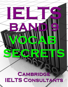# CAMBRIDGE **IELTS CONSULTANTS**

 $\blacksquare$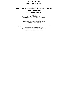# **IELTS BAND 9 VOCAB SECRETS**

# **The Ten Essential IELTS Vocabulary Topics With Definitions Ten Model Essays and Examples for IELTS Speaking**

Published by Cambridge IELTS Consultants Cambridge, United Kingdom

Copyright © Cambridge IELTS Consultants and Jessica Alperne, Peter Swires 2014. All rights are reserved, including resale rights. This e-book is sold subject to the condition that it will not be copied, stored or redistributed in any form.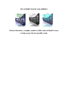**Also on Kindle from the same publisher:**



**Packed with advice, examples, models to follow and real Band 9 essays to help you get the best possible result.**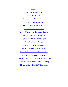#### **Contents**

[Introduction](#page-5-0) from the authors How to use this [book](#page-7-0) FAQs about the IELTS [vocabulary](#page-9-0) topics Topic 1: Work and [careers](#page-11-0) Topic 2: [Education](#page-17-0) and schooling Topic 3 [Children](#page-22-0) and families Topic 4: Nature, the [environment](#page-27-0) and energy Topic 5: Culture, art and [traditions](#page-32-0) Topic 6: [Healthcare,](#page-38-0) health and sport Topic 7: Global [challenges](#page-44-0) Topic 8: Cities and [infrastructure](#page-49-0) Topic 9: [Countryside](#page-54-0) and agriculture Topic 10: [Government](#page-59-0) and the authorities [Developing](#page-65-0) your **IELTS** vocabulary [Overview:](#page-67-0) The IELTS Academic Task 2 essay types The most common [mistakes](#page-69-0) in IELTS Writing More from Cambridge IELTS [Consultants](#page-72-0)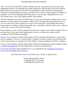# <span id="page-5-0"></span>**Introduction from the authors**

There are two parts of the IELTS exam in which the test asks some questions and you must create independent responses: the Speaking Test and the Writing Test. Many people do not realise that the IELTS system uses a group of ten key topics to formulate all of these questions in Speaking and Writing. If you understand these ten topics, and above all if you know some advanced vocabulary on each topic to use in your Speaking and Writing answers, you can make a huge difference to your IELTS Band score, even if your English contains some mistakes.

This book introduces you to these ten IELTS topics. Each of our ten modules summarises the various elements of a topic, and gives an example Academic Task 2 Writing Task exactly like the ones you will see in the exam. It also explains how to answer the writing Task. Each module then teaches a large amount of vocabulary related to the module topic, contained in a Band 9 model essay so that you see how the words are used in IELTS Writing.

Each module has a clear-to-follow definition of each word or phrase, and a further example of how to use these topic words again in the Speaking part of the test, so that you are ready to use the vocabulary in both Writing and Speaking.

If you are not yet familiar with the different types of IELTS Academic Writing Task 2 essays, please start by reading our 'Overview' from the table of Contents. If you have already read our other books on this concept, please go straight to the Topic Modules to begin expanding your IELTS vocabulary.

If you are not yet familiar with the different parts of the IELTS Speaking test, please consider reading our Band 9 [Speaking](http://www.amazon.co.uk/GET-IELTS-BAND-Speaking-Strategies-ebook/dp/B00MVRLIAQ/ref=sr_1_5?ie=UTF8&qid=1418755639&sr=8-5&keywords=cambridge+ielts+consultants) book for help, either before or after you finish this book.

If you need a dictionary while using this book, we recommend the free *Cambridge [Dictionaries](http://dictionary.cambridge.org/) <u>Online from Cambridge University Press.</u>* 

Don't just trust to luck in your IELTS exam – the key is expert advice!

Jessica Alperne & Peter Swires Cambridge IELTS Consultants cambridgeielts@outlook.com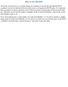# <span id="page-7-0"></span>**How to use this book**

This book will teach you a very large amount of vocabulary of exactly the type that the IELTS examiners want to see and hear from you in the exam, covering the ten IELTS topics. It is important that you prepare to answer questions on *all* of these ten topics, because they all may be used in the test. Therefore, do not start by trying to remember all the words from Module 1, then all the words from Module 2 and so on.

Try to learn and practise a small number of words from Modules 1 to 10 at first, and then a slightly larger group of words from Modules 1 to 10, and so on. In this way, you will develop a wide IELTS vocabulary on all the topics, and not become a 'specialist' in just one topic.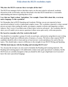# <span id="page-9-0"></span>**Why does the IELTS exam use these ten topics all the time?**

The IELTS test managers believe that these topics are the most suited to advanced, academic discussion in the world today, and also that people who take IELTS should have a reasonable understanding and interest regarding these areas.

# I see that one Topic is about 'Agriculture,' for example. I know little about this, even in my **native language. Is this a problem?**

No! Remember that in IELTS Speaking and Academic Writing, you are not expected to know specialised technical words or understand complex issues. The vocabulary expected is what a normal person can meet when reading the media, newspapers, popular websites and magazines on these subjects. Don't worry if you think some of these topics seem too advanced – the vocabulary that we show you will enable you to answer questions in these areas quite easily, with some practice.

# **Do I need to remember all of the words in this book?**

You should try to remember a group of words on each topic, and practise using them in your writing and speaking. People have different styles of memory, of course. We believe that a typical IELTS candidate should be able to learn and use at least ten new words and phrases for each of the ten topics. This should make a massive difference to the strength of your IELTS Writing and Speaking.

# **Will this book help me with the Reading and Listening IELTS tests?**

Yes, because the ten topics are also used to formulate the Reading and Listening materials. The Reading and Listening papers will additionally contain some quite specialised vocabulary, but the IELTS tests are carefully designed so that you should be able to get a high band even if you don't know this more specialised language.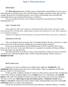# <span id="page-11-0"></span>**Topic 1: Work and careers**

#### About Topic 1

The **Work and careers** topic includes issues of opportunities and problems at work, ways of motivating and rewarding workers, the work/life balance, changes in patterns of jobs and work (for example, the growth in working from home), career choices and training, and occasionally the relationship between government and businesses or industries.

You are not expected to know any vocabulary connected to specialised areas of finance, marketing and so on.

## Topic 1 Example Task

*Some employers of er their employees subsidised membership of gyms and sports clubs, believing that this will make their staf healthier and thus more ef ective at work. Other employers see no benefit in doing so.*

*Consider the arguments from both aspects of this possible debate, and reach a conclusion.*

#### Explanation of the Task

This is an Opinion>Discussion type Task. You should introduce the topic, present two or three ideas on each side of the discussion, and then give your opinion in the conclusion.

If you are not already familiar with the different types of IELTS Academic Task 2 essay, please see the 'Overview' at the end of this book. It is essential to be familiar with these different essay types before you take the exam.

The following model essay shows you key words and phrases which you can use to increase your band score when discussing this topic, in both writing and speaking. The key words are **highlighted in bold**.

## Band 9 model essay

Employers are always seeking ways to enhance their employees' **productivity**, and **subsidising** healthy pursuits may be one way of achieving this. There are arguments on both sides, however, which we will discuss here.

On the one hand, it might be said that if workers are fitter and less stressed, their working time will be more efficient, leading to higher levels of **output** and service. Furthermore, the **work/life balance** of the staff will hopefully be improved, because their leisure time will be more fulfilling. This may even be more **motivating** than **pay increments, perks,** or **financial rewards** such as **bonuses** or **incentives** which may be hard to attain. Finally, feeling healthier may lead to better **job satisfaction** which is in itself a motivating factor.

Conversely, the problem with such leisure-based subsidies is that their efficacy is virtually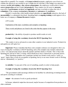impossible to quantify. For example, with **target-related** payments, employers can at least see whether the objectives are reached or not. It might also be said that, if this budget was spent on (for instance) **on the job training** or **day release programmes**, the employees would achieve better **career progression** and have better **job prospects.** These matters are all easier to **measure**, especially in **performance reviews** and **appraisals,** and may even help to reduce the risk of **redundancy** if the company **restructures, downsizes** or **outsources** its **workforce.**

Overall, it seems that, while health-related subsidies are **superficially** attractive, the lack of **measurability** is a substantial drawback. Spending funds on **ongoing training** would appear to be a better use of company or **Human Resources** budgets.

(259 words)

Explanation of the topic vocabulary and examples in Speaking

These words and phrases are listed in the order that they appear in the essay

**productivity** = the ability of people to produce useful results at work.

# **Example of using this vocabulary item in the IELTS Speaking Test:**

'My country is not as advanced as some other countries in our industrial sector. Productivity and quality are still quite low.'

**Important:** Please remember that these extra example sentences are designed to show you ways of using this vocabulary in IELTS Speaking, and so the examples may include contractions ('*don't'* etc) and personal stories about the speaker and their family or friends. This is fine in the Speaking test, but not in Task 2 writing, which should never have contractions or personal stories.

These Speaking examples also sometimes include less formal words such as 'really' or 'good.' Again, these words are acceptable in Speaking, but try to use more formal words in Writing, such as 'substantially' or 'positive.'

**to subsidise =** to pay part of the cost of something, usually in order to help people.

# **Example of using this vocabulary item in the IELTS Speaking Test:**

'The government could encourage children to be healthier by subsidising swimming lessons and sports coaching at weekends.'

**output** = the amount of work or goods produced.

In Europe, industrial output has decreased, maybe because of competition from producers in other continents.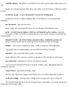**work/life balance** = the ability to work hard but also enjoy a good quality family and social life

People are working long hours these days, and so their work/life balance is affected, leading to stress.

## **to motivate people = to give them positive reasons for working hard**

If employees are given regular feedback, they will probably be well motivated and committed.

**pay increments** = pay rises/increases

In my country, pay increments have been very low because of the financial crisis.

**perks = reward from an employer which are not financial (eg free lunches, a car etc)** Personally, I'd like to work for a company that gives lots of perks, because I would find this very enjoyable.

**financial rewards = any form of money payment (salary, commission, pension etc)** Being a primary teacher may be satisfying, but the financial rewards are not high

**bonuses** = money given in addition to salary, usually in return for achieving targets

Apparently some investment bankers can earn millions of dollars in bonuses.

**incentives** = any reward that makes people work harder

Some employers offer vacations or parties as incentives if the team hits its sales targets.

**job satisfaction =** enjoyment of a job for non-financial reasons

I get a lot of job satisfaction from my work at the wildlife centre, although the financial rewards are quite low.

**target-related** = dependent on hitting a target

My boss once offered me a target-related bonus, but it was almost impossible to achieve!

**on the job training =** training while working, not by leaving work to go to college etc

My sister has found that the on the job training she gets at her bank is very useful, and she has progressed well because of this.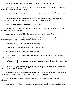**ongoing training =** training throughout your time in a job, not just at the start

I enjoyed my work at the airline at first, but I soon found that there was no ongoing training and my skills weren't really developed.

**day release programmes** = programmes of training or education when employees can spend entire days out of work

I feel that employers should be much more flexible regarding training, for example by subsidising day release programmes or job exchanges with other companies.

**career progression** = the ability to advance your career

The problem with being a freelance photographer is that there's no real career progression, unless you become very famous.

**job prospects =** the possibility of promotion or higher level work in future

I remember an interview when the employer told me there were excellent job prospects in their firm for young people. In reality, this was not really true.

**to measure =** to assess the dimensions of something

Job satisfaction may be important, but can we really measure it?

**superficial =** not addressing deep or important issues

I'm not a big fan of traditional music. I find the lyrics rather old-fashioned and superficial for modern listeners.

**performance reviews/appraisals =** meeting at which an employer gives feedback to a worker on their work over a fixed period.

I remember being worried about my job at first, but at my six month appraisal my manager told me she was pleased with my efforts.

**redundancy =** a situation where a worker loses their job because of changes in the company (not because of personal mistakes) (verb  $=$  to make someone redundant)

In my home town, the textile factories have closed and many people have been made redundant.

**to restructure =** to change the organisation of a company, usually in order to make it more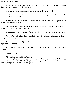effective or to save money.

We used to have a large training department in my office, but in our recent restructure it was eliminated and the staff were made redundant.

**to downsize =** to make an organisation smaller and employ fewer people

My father's college used to employ almost one thousand people, but then it downsized and now has less than five hundred.

**to outsource =** to stop doing work inside the company and send it to other companies or other countries, usually to save money

Many American companies have outsourced their IT operations to Asian countries, where productivity is similar and salaries are lower.

**the workforce =** the total number of people working in an organisation, company or country

The workforce in Northern Europe is skilled, but it's also inflexible and much older than in other parts of the world.

**Human Resources (**or HR**)** = the department in a company which manages recruitment, employment and training

When I graduate, I plan to work in the Human Resources area of the oil industry, possibly in the Middle East.

Summary of Topic 1

This completes our Module for Topic 1.

Remember, please don't try to learn or memorise *all* of these words immediately. Go through the whole book from Module 1 to 10, and try to practise using a small group of words from all of the Modules, then go back and expand on each group.

**\*\*\***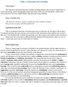# <span id="page-17-0"></span>**Topic 2: Education and schooling**

## About Topic 2

The Education and schooling topic includes teaching methods and resources, approaches to exams and testing, school management, pupil motivation, behaviour and discipline, school sport, extra-curricular activities, higher/further education and course funding.

## Topic 2 example Task

*'The Internet will never replace traditional course books in schools.' How far do you agree with this prediction?*

## Explanation of the Task

This is an Opinion>Personal viewpoint type essay (it asks how far you agree with an idea.) You should introduce the topic and give your opinion in the introduction, then explain why you have this view. You should briefly consider the opposing view, then restate your opinion in the conclusion.

Notice how this essay type is different from the Opinion>Discussion type which we saw in Topic 1, which asks you to *discuss* both sides of a debate.

# Band 9 model essay

There is a huge range of resources available to the modern teacher, and the right selection is crucial in delivering effective lessons. I agree that there will always be a place for course books in the school **curriculum**, despite the many benefits of the Internet.

Firstly, course books (whether conventional or digital) have been developed by **pedagogical** experts and designed to be incorporated into a subject **syllabus,** leading to testing procedures such as **formal examinations** or **continuous assessment**. This means that they are proven to improve students' **academic achievement**, enhancing their potential for progression to **further** or **higher education.** Furthermore, the use of modern course books allows pupils to coordinate their studies as part of **group work**, hopefully making their lessons less **teacher-led** and more about **autonomous learning**. This in itself teaches **study skills** such as independent research and **synthesising sources**, rather than old-fashioned **rote-learning.** This is where the Internet, in fact, can play a useful part: to **supplement** and add to **knowledge** which the students are **assimilating** via their course books. However, it is the role of teachers and school management generally to ensure that use of the Internet remains a **guided learning** process, and not an exercise in **data-gathering** from Internet sources which may be unreliable or even misleading.

It is true that the Internet can be invaluable for adults (for example in **distance learning** or **self-study** modules) who are able to **discriminate between sources** and **sift information** to **marshal their facts**. However, this is a mature skill and we should not assume that school age pupils are ready to do this.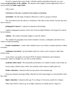Overall, it appears that course books, with their quality and depth of material, are set to remain **an integral part of the syllabus**. The internet can be judged a useful supplement to this, if used carefully and **under supervision**.

(304 words)

Explanation of the topic vocabulary and examples in Speaking

**curriculum =** the full range of subjects offered by a school or group of schools

The curriculum in private schools is sometimes wider than in state schools, because they have more resources.

**pedagogical** (**experts)** = (experts in) education and teaching

I admire pedagogical pioneers such as the Victorian English thinkers who began free schools for all children.

**syllabus** = the content of elements taught in a specific subject

The syllabus for geography at my school included volcanoes, earthquakes and tidal waves, which we found fascinating.

**formal examinations** = exams where students answer set written or spoken questions without assistance

**continuous assessment =** giving students marks for course work or projects, rather than formal exams

At my school, our grades were based 50/50 on formal examinations and continuous assessment, which we thought was very fair to all the children.

**academic achievement =** the measurable performance of a student in marks, exam results etc

In my country, children enjoy school, but academic achievement is frankly quite low.

**further education =** education after leaving school at the minimum age

Some governments encourage further education by allowing teenagers to claim benefits while they study.

**higher education =** education after age 18 at college or University, usually for a Degree

When I pass IELTS, I plan to go on to higher education in Canada and do a degree in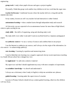engineering.

**group work =** study where pupils discuss and agree a project together

Personally, I think that group work enables lazy children to do less work than the eager ones.

**teacher-led lessons =** traditional lessons where the teacher delivers a long talk and the students take notes

In my country, lessons are still very teacher-led and interaction is rather limited.

**autonomous learning =** when a student learns through independent study and research

At University, you are expected to be an autonomous learner far more than at High School, which is quite exciting for me.

**study skills** = the skills of organising, using and checking study work

My study skills were rather weak until I read an excellent book by a Japanese pedagogical expert.

**to synthesise sources =** to use a variety of sources and combine them in one project

I use the Internet to synthesise my sources, and I always cite the origin of the information. (to cite sources = to acknowledge publicly)

**rote-learning =** learning by repetition and memorising items

I used to think that rote-learning was a negative approach, but my recent experiences teaching in a South African school have changed my view.

**to supplement =** to add extra content or material

My supervisor said that I should supplement my essay with more examples of experiments.

**to assimilate knowledge =** to absorb and understand it

I always use a dictionary when I study in English, to help me assimilate new phrases.

**guided learning =** learning under the supervision of a teacher

Lessons in Primary Schools should always contain guided learning, otherwise the children will lose focus.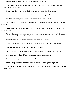**data-gathering** = collecting information, usually in numerical form

Mobile phone companies employ many people in data-gathering Tasks, to see how users are using the phones and Internet.

**distance learning** = learning by the Internet or email, rather than face-to-face

My mother took an entire degree by distance learning over a period of five years.

**self-study** = studying using a course without a teacher's involvement

There are many self-study guides to improving your English, and some of them are actually quite good.

**to discriminate between sources** = to decide whether one source is better or more reliable than another source

Children should not study using unsupervised Internet access, because they can't discriminate between the sources of information they find.

**to sift information** = to remove unwanted or less useful information

I had to sift hundreds of pages of data to arrive at my conclusions when I did my thesis.

**to marshal facts** = to organise facts in support of an idea

In IELTS essays, you should marshal a few facts to support each idea in the argument.

**an integral part of the syllabus =** essential, central or indispensable

Nutrition is an integral part of food sciences these days

**to work/study under supervision** = under the direction of a responsible person

At college, I discovered I did not have to work under supervision all the time, and I was free to do independent research.

**\*\*\***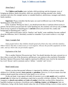# <span id="page-22-0"></span>**Topic 3 Children and families**

## About Topic 3

The **Children and families** topic includes child psychology and development, ways of bringing up children, family discipline, child care, preschool learning, parental roles, family structures and roles (for example nuclear or extended families), adolescence, teenagers and elderly family members.

**Important:** Please remember that the topics are used in different ways in the Writing and Speaking parts of the IELTS test.

In the Academic Writing test Task 2, you should present ideas or opinions about society in general, but not about your personal life. In the Speaking test, the examiner will always ask you **both** about society in general (in Speaking part 3) **and also** about your personal life, country and background (in Speaking parts 1 and 2.)

With controversial topics such as 'families' and 'health,' some candidates become confused about this difference, but it's absolutely essential to remember if you want to achieve a very high Band!

## Topic 3 example Task

*Some people believe that children should spend all of their free time with their families. Others believe that this is unnecessary or even negative. Discuss the possible arguments on both sides, and say which side you personally support.*

#### Explanation of the Task

This is another Opinion>Discussion type Task. You should introduce the topic, present two or three ideas on each side of the discussion, and then give your opinion in the conclusion. Remember that these Opinion>Discussion Tasks might be expressed in different ways; look for the instruction key word 'discuss' and its synonyms such as 'debate,' 'consider' and 'review.'

#### Band 9 model essay

Nobody can deny that parental influence is important for children, at least in cases where children live with their parents, **foster parents** or **guardians**. However, it is by no means clear that children should spend time exclusively in the family, as we will see.

On the one hand, it may appear advisable for parents to act as **role models** and to establish **ground rules** for behaviour by spending as much time as possible with their children. This allows the youngsters to **absorb conventions** and **codes of conduct** which they can then follow themselves, hopefully leading to an absence of problems such as **bullying, truancy** and **delinquency** later on. Furthermore, being with the family should reduce the risk of children falling victim to crimes such as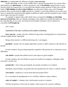**abduction**, or coming under the influence of negative **peer pressure.**

On the other hand, we have to ask whether this is a practical proposition. In a society where many families are **dual-income**, or where one parent's role as **breadwinner** means he/she is away from the family for long periods, it is inevitable that children cannot spend all of their time with the family. **Child-minding** and **after-school childcare** are often used in these cases, and if managed properly, these can be perfectly **viable** alternatives. Equally, it seems that children can in some cases learn a considerable amount from their **peers** in addition to adults, and allowing them to play without direct supervision may be a benefit.

To conclude, it appears that, while family time is essential for **bonding** and **absorbing patterns of behaviour**, there are definite advantages when children are outside the family too. This is provided that they are in a safe, well-behaved environment with peers who are themselves reasonably **well brought-up**.

(287 words)

Explanation of the topic vocabulary and examples in Speaking

**foster parents** = people who have children living in their existing family for a fixed period, with the original parents' agreement

Being a foster parent is a difficult and tiring role, I can imagine.

**guardians =** people who are legally appointed to protect a child's interests in the absence of parents

In some countries, the government appoints a guardian if the parents die or experience severe difficulties.

**role models =** people that children look to and respect as good examples

In some countries, the royal family are good role models for youngsters, although in other cases this is not the case.

**ground rules** = basic rules governing the way people can behave in a situation

During the school holidays, my parents had strict ground rules for what we could do outside.

**conventions** = traditions or social norms that most people follow

It's a convention for grandparents to live with their children in many countries.

**codes of conduct =** voluntary rules which people accept in a situation

The Boy Scouts have a firm code of conduct, which seems to be a positive influence.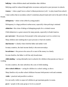**bullying =** when children attack and intimidate other children

Bullying could be reduced through better awareness and positive peer pressure in schools.

**truancy** = when a pupil leaves school without permission (verb = to play truant from school)

I must confess that at secondary school I sometimes played truant and went to the park with my friends.

**delinquency** = minor crime (often by young people)

Delinquency is a huge problem in urban areas, especially when policing is minimal.

**abduction =** the crime of taking or kidnapping people for a criminal reason

Child abduction is a great concern for many parents, especially in South America.

**peer pressure** = the pressure from people in the same group to act in a certain way

Many children start smoking due to peer pressure or bad role models.

**dual-income =** a family where both the father and mother work

In many countries, the dual-income family is the norm nowadays.

**breadwinner** = the person who earns all or most of the money in a family

In some families, the father is still the only breadwinner.

**child-minding** = caring informally (not in schools) for children when parents are busy or working

In some countries, the state subsidises the costs of child-minding.

**after-school childcare** = caring for children in a school setting, as above

Many families rely on after-school childcare because both parents work and commute.

**viable** = practical and possible to achieve

It is not really viable to expect all children to get maximum grades in exams.

**peers** = people in the same group or level as yourself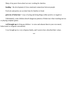Many of my peers from school are now working for charities.

**bonding** = the development of close emotional connections between people

Festivals and parties are an ideal time for families to bond.

**patterns of behaviour =** ways of acting and doing things (either positive or negative)

Unfortunately, some children absorb dangerous patterns of behaviour when watching movies or playing computer games.

well **brought-up** (to bring up children = to raise and educate them in your own moral, behavioural or religious conventions)

I was brought up in a very religious family, and I seem to have absorbed their values.

\*\*\*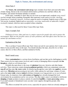# <span id="page-27-0"></span>**Topic 4: Nature, the environment and energy**

## About Topic 4

The **Nature, the environment and energy** topic includes fossil fuels and renewable fuels, climate change, threats to the environment (deforestation, pollution etc) and their effects, the biosphere, and animal life/human attitudes to animals.

In this topic, remember to show that you can write in an impersonal, academic way, even if you feel strongly about something. Remember that emotional words such as *terrible, shocking, disgusting* or *wonderful, fantastic, brilliant* cannot be used in Academic English essays of this type. You can use Academic English such as *regrettable, worrying, inadvisable* or *admirable, helpful, invaluable* instead, which are more accepted in these situations.

This topic is often used for Ideas>Cause/effect type Tasks.

## Topic 4 example Task

*Pollution of rivers, lakes and seas is a major concern for people who seek to protect the environment. What are the possible causes of water pollution, and what ef ects does this have on animal life and human society?*

## Explanation of the Task

This is an Ideas>Causes/effects type Task. It does not ask for your opinion, but it wants you to think of some possible ideas on the topic. You should introduce the topic, describe two or three causes, then two or three effects, and then summarise briefly.

## Band 9 model essay

Water **contamination** is a serious form of pollution, and one that can be challenging to rectify. There seem to be two main causes involved, and a variety of damaging effects on people and **the biosphere**, which we will discuss here.

Probably the main factor is the issue of **emissions** from cars, factories and other human activities. These emissions contain damaging **pollutant particles** which can contaminate rainwater **run-off** and thus enter **the water cycle**, by transferring through the water table into **aquifers**, streams and rivers. **Filtration** and processing are not really viable options for such large volumes of water, and so the **water table** remains **tainted** with these elements over long periods, as we see in Eastern Europe today. In situations where **soil erosion** and **logging** have already damaged the local environment, the accumulation can be very serious. The other major cause is accidental or deliberate **dumping** of **waste** products in places outside of controlled **landfills** or **waste processing** centres. Even small amounts of abandoned waste can enter water supplies through the ground, often undetected.

The effects on animal life can be severe, especially for species which are already endangered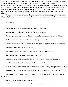by such threats as **poaching, habitat loss** and **food chain** disruption. Contaminated water can lead to **dwindling numbers** or even potential **extinction**, as may indeed happen to the Asian tiger populations. The impact on human society can also be distressing, including the poisoning of drinking water, **famine** or **drought** due to lack of safe **irrigation**, and long-term loss of land as we see, for example, after the Bhopal poisoning **catastrophe** in India. Such effects tend to have an especially grave impact on the very poorest in society, with the least resources to counter the environmental effects.

Overall, we see that emissions and dumping are the main origins of the problem, and that the effects on both humans and animals are **exacerbated** by the existing environmental, criminal or social problems.

(316 words)

Explanation of the topic vocabulary and examples in Speaking

**contamination =** pollution by poisons or dangerous elements

The atmosphere in large cities is often contaminated by smog, as we can see in China.

**the biosphere** = the relationship between all living things on the planet

Children should be educated on the biosphere through field trips and practical experiments.

**emissions** = gases entering the atmosphere

Scientists spend their whole careers studying the effect of emissions on the climate.

**pollutant particles** = microscopic elements of pollution

I remember going to a factory and seeing the snow covered with pollutant particles.

**run-off** = water that runs from the ground into rivers and lakes

We should try to collect and use more run-off water, to avoid having to recycle water so much.

**the water cycle =** the natural process of water moving from clouds to rain and seas

Scientists believe the water cycle is responsible for various natural events, especially in coastal areas.

**aquifers =** underground, natural water stores

My family have a well which connects to an aquifer, giving very pure water.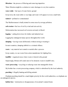**filtration** = the process of filtering and removing impurities

Water filtration might be a solution to water shortages in very hot countries.

**water table** = the layer of water below ground

In my town, the water table is very high, and water will appear in even a small hole.

**tainted** = polluted or contaminated

The Mediterranean is badly tainted in some areas by sewage pollution.

**soil erosion =** the loss of soil by wind and rain activity

Deforestation has increased soil erosion seriously in Brazil.

**logging** = cutting down trees for timber and industrial use

Logging has endangered many species throughout the world.

**dumping** = leaving waste deliberately without storing or treating it

In most countries, dumping rubbish is a criminal offence.

**waste** = any material not wanted or needed after a process

In my country, we use waste from cotton manufacture for lighting fires.

**landfills** = organised areas where waste is buried in the ground

Surprisingly, Britain still sends most of its domestic waste to landfill sites.

**waste processing** = recycling or reducing waste into manageable forms

My brother has a waste processing company, which is subsidised by the local authority.

**poaching =** illegally hunting and killing animals

Elephant poaching should be a much higher priority for the world authorities, as elephants are an endangered species.

**habitat loss** = destruction or disappearance of an animal's natural home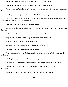Logging has caused substantial habitat loss for wildlife in many countries.

**food chain =** the natural system of animals eating other animals and plants

The food chain has been disrupted by the loss of certain species, with widespread impacts on all animals.

**dwindling numbers**  $=$  (to dwindle  $=$  to steadily decline in quantity)

States seem to have dwindling funds to pay for animal sanctuaries, although they are still able to pay for government officials and their perks.

**extinction** = the final death of all animals in a species

Dinosaur extinction may have been caused by a meteor or volcano, but scientists seem unsure about this.

**famine** = a situation where there is a lack of food in an area for a long time

Many singers help make charity songs to raise funds for famine relief.

**drought** = similar to famine, but a lack of water

Drought in central Africa can continue for many years, apparently.

#### **irrigation = supplying water to land for agriculture**

If we want quick solutions to famine, better irrigation and farming methods would probably be the first step.

**catastrophe** = a great disaster affecting many people

The continuing destruction of the rain forests is a catastrophe for the global biosphere.

**exacerbated** (= to exacerbate = to make an existing problem worse, accidentally or deliberately)

Famine in Africa has been exacerbated by civil war and political instability.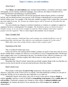# <span id="page-32-0"></span>**Topic 5: Culture, art and traditions**

## About Topic 5

The **Culture, art and traditions** topic includes human folklore, ceremonies and rituals, myths and legends, social customs, traditional languages, dress and arts, the impact of modern life on traditional lifestyles and differences in national habits.

Please remember that IELTS will not ask specifically about religion, politics or spiritual beliefs, and you should not base your answers in the Writing or Speaking tests on your personal beliefs in these areas. For example, if the Task asks whether you agree with a certain idea, you would get a low mark if you say *'Yes, because my religion agrees with it/ because my President has this policy'* or similar.

You can certainly use religious or political situations as evidence or examples to support an argument, but not as a starting point. For example, '*We should give money to charity because it benefits society, as we can see for example in countries where religious observance requires people to do this regularly.*' This is a more logical and academic way to respond.

## Topic 5 example Task

*In many countries, traditional dress and costumes are considered ef ective ways of maintaining links with the past. How ef ective can traditional costumes be, in this sense? What other ways exist to help citizens connect with a country's past?*

#### Explanation of the Task

This is an Ideas/Evaluate type essay.

It does not ask for your opinion about whether costumes are good or bad, but it asks for you to decide whether these costumes are effective (or not effective) ways of maintaining links with the past, and to suggest other ways of connecting to the past. You should say how effective costumes are, with examples and evidence, and then compare their effectiveness to some other possible ways of connecting to the past.

Remember that 'Ideas/Evaluate' means that you should compare things in the way that they are used in society, but not decide on your personal preference about these things.

#### Band 9 model essay

Most people would agree that **preserving** connections with our past is an admirable objective, especially as the world evolves so rapidly. I feel that traditional costumes are one part of doing this, but they are by no means the most important, as we shall see.

Admittedly, historic dress plays a key role in social events such as religious **rituals** or military **parades**, and these events are helpful in **transmitting social memes** such as **public duty** and **self-sacrifice.** Traditional costumes also remind us of the origins of **cultural traditions and mythologies**, for instance the historic Swiss national dress which **evokes** their **medieval** independence.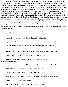However, it must be said that costumes are an accessory in these situations, and do not appear to constitute the central message. It is the **ceremonies** themselves which convey the **cultural norms** that help to maintain **the fabric of society.** In this sense, the costumes are of secondary importance. Furthermore, it seems that there are in fact much more powerful ways in which culture is **conserved** and **handed down** between the generations. Most countries have a rich **heritage** of **legends** and **folklore** about the birth and development of their nation, some of which are mythological and some being grounded in truth (as we see in the English stories about Robin Hood or George and the Dragon, for example.) These stories are a **cultural inheritance** which embodies important symbols and concepts far more effectively than dress. Similarly, we must remember the significance of art and music in passing on our traditions, in **forms** ranging from **fine art** to **handicrafts**, and from **opera** to traditional **shanties** and **dirges.** The presence of visual or **linguistic** messages in these **media** make them more effective than costumes, which convey no language.

Overall, we must recognise and welcome the use of traditional dress in helping to maintain our cultures. However, the forms of story, art and music would appear to be the driving forces in this invaluable process.

(321 words)

Explanation of the topic vocabulary and examples in Speaking

**to preserve =** to protect and keep something, usually because it is valuable for some reason

The state preserves ancient buildings because they are part of our heritage.

**rituals =** highly traditional ceremonies which have meaning for the participants

In some countries, wedding rituals continue for several days.

**parades =** organised processions in public by groups of people, usually to commemorate an event

In my home town, we have a military parade each year to mark our Independence Day.

**to transmit =** to communicate a message, literal or symbolic

The monarchy transmit symbols of power through dress and ritual.

**social memes** = social habits or patterns which are transmitted between people

In Britain, punctuality is a social meme.

**public duty =** the willingness to serve the public or the state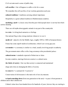Civil servants need a sense of public duty.

**self-sacrifice =** the willingness to suffer or die for a cause

We remember the self-sacrifice of our wartime generation each year.

**cultural traditions =** traditions carrying cultural importance

Hospitality is a great cultural tradition in Mediterranean countries.

**mythology, myth =** a classic story from the past which people know is not true but which carries meaning

There are old myths about gigantic animals in my part of the countryside.

**to evoke =** to bring back memories or feelings

Our national flag evokes strong emotions whenever we see it.

**medieval** = adjective for the Middle Ages, roughly 1050 to 1400 in European history

France has some superb medieval architecture, which I saw on my gap year.

**ceremonies =** a ceremony is similar to a ritual, usually involving people in authority

The government enters office with a long ceremony at the presidential palace.

**cultural norms =** standards expected of behaviour or ideas

In some countries, marriage between cousins is a cultural norm.

**the fabric of society =** the way that society is connected and maintained

drugs and crime are damaging the fabric of society.

**to conserve =** a synonym for 'to preserve'

Conservation of old treasures is the main role of our city museum.

**to hand something down** (from one generation to the next) = to pass it from parents to children and to their children etc

Cultural values have been handed down for hundreds of years, but now they are starting to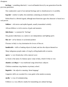disappear.

**heritage** = something inherited (= received/handed down) by one generation from the previous generation

Our countryside is part of our national heritage and we should preserve it carefully.

**legends** = similar to myths, but sometimes containing an element of reality

Robin Hood is a British legend, although most historians agree the character is based on a real person.

**folklore** = old stories and myths/legends, usually transmitted verbally

African folklore is rich in stories of gods and monsters.

**inheritance** = a synonym for 'heritage'

Our greatest inheritance as a nation is our independence and fighting spirit.

**fine art** = art by famous or acclaimed painters

Florence in Italy is a key destination for lovers of fine art.

**handicrafts** = skills of making objects by hand, and also the objects themselves

Many indigenous people make a living by selling handicrafts to tourists.

**opera** = a very formal play with a musical score

La Scala is the name of a famous opera venue in Italy, which I'd like to visit.

**shanties** and **dirges =** very traditional songs about basic subjects

Children sometimes sing shanties at primary school.

**linguistic** = the adjective meaning 'about language'

Linguistic skills are essential for a tour guide in the modern economy.

**media** = a way of communicating

Folklore is a very effective media for transmitting our cultural heritage.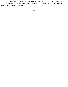(The phrase 'the media' is used to mean all the newspapers, broadcasters, websites and magazines commenting on issues in a country: *The president resigned due to pressure from the media, who disliked his policies*)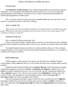# **Topic 6: Healthcare, health and sport**

## About the topic

The **Healthcare, health and sport** topic includes health problems and disabilities (physical and mental), ways of keeping fit and healthy, diet/nutrition and exercise, ways of providing (and educating people about) healthcare and health services, medical innovations and treatments, the benefits and management of common sports.

This is one topic especially where you need to remember **not** to give personal stories about yourself or people that you know in the Task 2 Writing!

### Topic 3 example Task

*Many doctors are concerned about the high use of computer games by children and young people. What mental and physical problems may arise from excessive use of these games? How could these problems be reduced?*

#### Explanation of the Task

This is an Ideas>Problem/solution type Task.

It does not ask about whether computer games are good or not, but about your ideas regarding possible mental and physical problems due to excessive use, and also any solutions that you can think of.

You should introduce the topic, describe two or three problems, then two or three solutions, and then summarise. Notice that the Task asks about mental and physical problems, so you should say something on each type of problem.

#### Band 9 model essay

Children appear to enjoy playing video games, and while there are undoubted benefits, various negative effects **stem** from this too. Let us consider the main issues, and then outline possible remedies.

Perhaps the major physical problem is the **sedentary lifestyle** which these games encourage, meaning that youngsters may incline to **obesity** or **inadequate development.** Added to this is the **strain** on eyesight resulting from excessive use of screens and consoles, meaning that children may suffer **symptoms** of poor vision. There are also concerns about **impairment** of reflexes due to the repetitive nature of the hand muscles when playing these games, and about the **poor diet** of **convenience food** which often accompanies this lifestyle.

The most alarming psychological impact of such activities is possibly the risk of **addiction**, meaning that children become obsessed with the games and are unable to **socialise** with family or peers. This undermines their **interpersonal skills** and makes them **underperform** both academically and socially.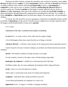Turning to possible solutions, perhaps the immediate step would be to promote a more **active lifestyle** through exercise **regimes** or sports **programmes** which would help to **detoxify** the lifestyles of children affected. This could be done through **sponsorship** of sports, or **participation** in **competitive** events such as races or matches, hopefully **ameliorating the physical effects** of excessive games use. Potential **remedies** for the danger of mental addiction may be, firstly, an **initiative** to **raise awareness** of the risks of the situation, for example through **health warnings** on games packaging or through high-profile spokespersons spreading such a message. For example, if sports **champions** or **figureheads** speak out about these dangers, the message may well get through to children.

To sum up, the risks posed by excessive gaming are connected to an unhealthy lifestyle and the possibility of **dependency** on the activity. Possible answers might involve stronger education about the dangers and the health benefits of more active **pursuits**.

(313 words)

Explanation of the topic vocabulary and examples in Speaking

**to stem** from = to come or derive from, often used for negative things

A lot of delinquency these days stems from the use of drugs or alcohol.

**sedentary lifestyle** = a lifestyle where people sit for long periods and are generally inactive

I used to keep fit, but since I started working as an architect my lifestyle had become mostly sedentary.

**obesity =** the medical condition of being seriously overweight

In some countries, obesity is the major cause of death among young adults.

**inadequate development** = insufficient or obstructed growth of the body

If children smoke, this can cause inadequate development of their lungs and brains.

**strain =** stress or overwork, physical or mental

I had to take a vacation due to the strain of working such long hours.

**symptoms** = indications that a medical problem is present

A sore throat and headache are symptoms of a cold or flu.

**impairment** (verb = to impair = to hinder or damage an ability)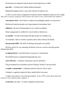His hearing was impaired when he heard a loud explosion as a child.

**poor diet** = a lifestyle diet without sufficient nutrients

Malnutrition happens due to a poor diet and lack of medical care.

('a diet' can also mean a programme of reduced calories intended to help you lose weight: '*My sister is always trying new diets because she wants to lose 2 kilos before the summer'*)

**convenience food** = food which is cooked in its packaging, usually in a microwave

British and American people eat a large amount of convenience food.

**addiction =** the state of being unable to live without something

Many young people are addicted to social media or Internet use.

**to socialise =** to meet with friends and other people in a friendly way

At weekends, I like to socialise at parties and in cafes with my old friends.

**interpersonal skills =** the skills of dealing with people successfully

My boss used to be very annoying, but then he went on a course to develop proper interpersonal skills.

**to underperform =** to perform below your peers or expectations

My football team are underperforming badly this year.

**active lifestyle** = a lifestyle with proper exercise and fitness

The government tries to promote an active lifestyle, but this is not successful.

**a regime, a programme =** a planned system of exercise, diet or sport

I adopted a vegetarian regime for three months before my exams.

('regime' also means a very strict government: *'In the 1970's, many South American countries were ruled by police regimes.'*)

**to detoxify** your body = to remove impurities and poisons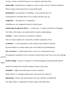I went to a clinic to detoxify because I was eating too much fatty food.

**sponsorship** = payment from a company to a sport or other activity in return for publicity Motor racing is often sponsored by energy drink brands.

**participation =** to participate in something = to join and take part in it

I participated in wrestling when I was at college, but then I gave up.

**competitive** = the adjective of 'competition'

Canadians are very competitive about ice hockey teams.

**ameliorating the physical effects** = to ameliorate = to make a problem less damaging The effects of his injury were ameliorated by extensive physiotherapy.

**remedies** = cures or answers to a problem or situation

There are many remedies for cold and flu available in pharmacy stores.

**an initiative** = a new programme or idea, usually in government or business

We need initiatives to tackle obesity, anti-social behaviour and delinquency.

**raise awareness** = to make people more aware of or caring about an issue

We organised a marathon to raise awareness of heart disease and ways to prevent it through exercise.

**health warnings** = notices on cigarette or alcohol packaging warning about the medical effects

Almost all countries have health warnings on tobacco these days.

**champions** = highly successful people in sport or business

Roger Federer is a champion tennis player, and a good role model too.

**figureheads** = people who represent part of society, officially or unofficially

The singer Adele is a figurehead for many young women these days.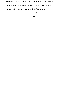**dependency** = the condition of relying on something in an addictive way The player was treated for drug dependency at a detox clinic in Paris. **pursuits** = hobbies or sports which people do for enjoyment Skiing and cycling are my main pursuits at weekends.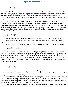# **Topic 7: Global challenges**

### About Topic 7

The **global challenges** topic includes economic issues, their impact on people and society, changes in demographics, movements of populations between countries and inside countries, long term trends in population and industry, severe global problems such as famine, drought and malnutrition, and also the possible causes of all these issues, their effects and possible solutions to them.

There are often connections between this topic and the other topics, especially **4 Nature, the environment and energy, 8 Cities and infrastructure, 9 The countryside and agriculture, and 10 Government and the authorities.** This means that you may sometimes need to combine vocabulary from two (or possibly three) topics to answer a Task. For example, a Task may ask about the effect of economic problems on the countryside, and you would then use vocabulary from Topics 7 and 9.

#### Topic 7 example Task

*'Unemployment remains the biggest challenge to school-leavers in most countries' How far do you agree with this assessment? What other challenges face young people today?*

*(school-leavers = young people who leave school without going on to further studies.)*

#### Explanation of the Task

This is another Opinion>Personal viewpoint type essay (it asks how far you agree with an idea.) You should introduce the topic and give your opinion in the introduction, then explain why you have this view. You should briefly consider the opposing view, then restate your opinion in the conclusion. This particular Task has an extra element, which sometimes happens in Task 2: it asks you to suggest some other challenges also. You should combine these ideas in the main body of the essay, as in the example below.

#### Band 9 model essay

Youth unemployment is certainly a worrying **challenge** for most countries, especially at a time of **economic instability** and **social unrest**. However, to say that this is the largest **issue** is to overlook a range of equally **pressing matters,** as we will discuss now.

It must be admitted that **joblessness** can undermine a young person's **economic prospects** and consequent **social mobility.** Nevertheless, this issue can be ameliorated by coordinated action between the state and the **private sector,** as we have seen, for instance, in Canada recently. When this is realized, we can see that other concerns are at least as serious.

Foremost among these is perhaps the issue of age **demographics**, whereby young people bear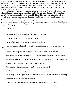the burden for an increasingly elderly population with high **longevity**. This means that young people will pay higher taxes and work longer hours, possibly forcing them to **migrate** to countries where this pressure is lower. The effect of this is the '**brain drain'** situation which can be seen in southern Europe, where young, ambitious people prefer to leave their countries altogether, exacerbating the problem for those remaining.

Furthermore, we must remember that a substantial proportion of young people globally face **existential threats** such as **famine, drought** or **outbreaks** of disease. These problems are often caused by (or are compounded by) **civil war, political instability** or the **corruption** of people in power locally. Such risks are a danger to their safety in addition to their **livelihood**, and so would appear to be far more serious than unemployment.

To conclude, it seems logical to accept that joblessness is a major challenge for young people. However, persistent trends in demographics among **developed countries** and the presence of physical dangers in **developing countries** should be regarded as at least as severe.

(290 words)

Explanation of the topic vocabulary and examples in Speaking

**a challenge** = a problem or difficulty to be faced

The West faces many challenges due to its ageing population.

**economic or political instability** = a rapid, unmanaged change in a country's economy or political situation

Economic instability causes many people to move abroad to seek reliable work.

**social unrest =** riots, protests or fighting by the public against each other or the government

Social unrest is spreading from the countryside to the cities, and the police are not responding.

**an issue** = a topic, subject or question that must be considered

The issue of petrol price inflation is not often discussed in the media.

**pressing matters =** urgent, important issues

I could not go to the college reunion because of more pressing matters at home with my family.

**joblessness** = a synonym for 'unemployment'

Joblessness among older people is actually higher than among recent graduates.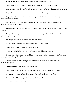**economic prospects** = the future possibilities for a national economy

The economic prospects for very small countries are quite positive these days.

**social mobility =** the ability of people to progress in terms of salary, lifestyle and social status

The greatest aid to social mobility is good education and training.

**the private sector =** private businesses, as opposed to 'the public sector' meaning stateowned or controlled services

I definitely want to work in the private sector after I graduate. It is a more stimulating environment than the public sector.

**demographics =** the changes in society in terms of age, income, numbers, origins and location in a country

Demographic changes in Scandinavia have been dramatic, with substantial immigration and an ageing indigenous population.

**longevity** = the tendency to have a long life expectancy

Japanese people have perhaps the highest longevity in the world.

**to migrate** = to move permanently between countries

Migration within the Eurozone is a highly controversial issue at present.

'**brain drain'** = the tendency for intelligent or successful workers to migrate out of a country (usually expressed in quotes '')

Southern Europe is experiencing a high 'brain drain' these days, because of the lack of economic prospects.

**existential threats** = a threat to existence or life

The economy of my country faces an existential threat from collapsing oil revenues.

**an outbreak =** the start of a widespread problem such as disease or conflict

The outbreak of Ebola is a great concern for doctors globally.

**civil war =** war between people inside a country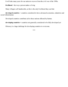It will take many years for our nation to recover from the civil war of the 1990s.

**livelihood** = the way a person makes a living

Many villagers sell handicrafts, as this is the only livelihood they can find.

**developed countries** = countries considered to have advanced economies, industries and social infrastructure

Developed countries contribute aid to those nations affected by famine.

**developing countries =** countries not generally considered to be fully developed yet

Illiteracy is a huge challenge for developing countries to overcome.

**\*\*\***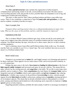## **Topic 8: Cities and infrastructure**

### About Topic 8

The **cities and infrastructure** topic includes the organisation of urban transport, communications and housing, trends in city life, social problems associated with cities such as overcrowding and petty crime, the growth of cities, possible future developments in city living, and comparisons of urban and rural lifestyles.

This topic is often used for Task 2 Ideas>problem/solution and Ideas>cause/effect type essays. There is also sometimes a connection to Topic **9 Countryside and agriculture,** so you may need to combine vocabulary from the two topics.

#### Topic 8 example Task

*Transport delays and long journey times are a widespread phenomenon in many cities today. What are the causes of this problem, and how could the situation be improved?*

#### Explanation of the Task

This is an Ideas>Mixed>Causes/solutions type essay. It does not ask for your opinion, but wants you to suggest some ideas about the causes of a problem situation and also some possible solutions. You should introduce the topic, describe two or three causes, then two or three solutions, and then summarise.

Task 2 sometimes mixes Cause/effect and Problem/solution Tasks in this way. You should read the Task very carefully to see if it is a 'mixed' type. The word 'problem' does not *necessarily* mean it is a Problem/solution Task!

#### Band 9 model essay

Transport is an essential part of **urban** life, and lengthy journeys are frustrating and expensive for those concerned. There appear to be two main causes of this, and several possible solutions, as we will explain here.

Perhaps the main cause is the lack of **investment or funding for infrastructure** in the form of **high-capacity public transport** and increased road space for private vehicles. This means that too many vehicles use the existing network, and **congestion** is inevitable. We see this in most large cities globally, such as London or Tokyo. Many **conurbations** also lack finance for **transport hubs**, such as integrated road and rail **facilities** which could connect public and **private transport**, thus reducing **bottlenecks**. A further cause seems to be the problem of **overcrowding** in cities, whereby people migrate from the **hinterland** and **settle** in urban areas, putting strain on **amenities**, housing and above all on transport capacity. This means that an already stretched system is often pushed to a critical point, causing cancellations and breakdowns in the technology used, especially in situations of **urban sprawl** such as in Latin America.

Regarding potential solutions, probably the main remedy would be to encourage investment in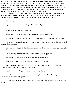better infrastructure, for example through subsidies or **public-private partnerships** as was tried successfully in Germany during the 1990's. This enhances the network and fosters a sense of **civic pride**, to everyone's benefit. Another solution may be to use **tax incentives** to allow more **home working**, so that there is less need to **commute** from the **suburbs** to the **inner city** for work. A final response might be the development of more flexible patterns of transport, such as **communal carpooling**, which would reduce reliance on existing systems and vehicles.

In conclusion, it seems that **outdated** infrastructure and overcrowding are the key factors behind our transport frustrations. Possible solutions would involve better funding, and also **innovations** in ways of working and travelling to reduce the **burden** on the system.

(311 words)

Explanation of the topic vocabulary and examples in Speaking

**urban** = adjective meaning 'about cities'

Urban crime is a great concern for the authorities in most countries today.

**investment or funding =** money to pay for an activity, either from government or business

My home town secured investment from a charity for a new stadium, and funding from a local company for sponsorship.

**infrastructure** = the physical and system organisation of a city, area or country, especially in terms of transport and communications

The UK railway infrastructure dates back to the 1860's in many places.

**high-capacity =** able to handle high volumes of goods or people

Sea container ships are high-capacity international freight providers.

**public transport** = transport such as buses and trains funded by the state (as opposed to 'private transport'such as cars owned by individuals)

I usually get to work by public transport, even though it's very crowded.

**congestion** = situation of too much traffic, causing delays (the phrase 'traffic jam' is not generally used in Academic English)

I have to leave home very early in the mornings, because of the congestion on the way to my college.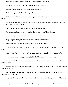**conurbations** = very large cities which have absorbed other towns

Sao Paolo is a huge conurbation in Brazil, and is still expanding.

**transport hubs =** centres where many routes converge

Heathrow airport is the largest transport hub in Europe.

**facilities** and **amenities =** places providing any service to the public, either private or public sector

My home city has many amenities such as swimming pools and parks, and several facilities for elderly people such as care homes.

**a bottleneck** = a place where congestion regularly happens

The connection from a motorway to a local road is always a big bottleneck.

**overcrowding** = a situation where too many people try to live in one place

Hong Kong has managed its overcrowding problem very skilfully.

**hinterland** = the area around a city affected by its development

I live in the hinterland of our capital city, where we regularly go for shopping and for work projects.

**to settle in a place =** to move and live there permanently, usually with work and a family

I was born in Asia, but my parents settled in the USA when I was very young.

**urban sprawl** = the situation where a city expands and buildings are constructed without control or laws

Urban sprawl has resulted in the rapid expansion of many Asian cities, with resulting damage to the environment.

**public-private partnerships =** projects funded jointly by the government and business, to reduce the cost to the taxpayer

My country has just installed a new tunnel under the central mountains, run by a public-private partnership.

**civic pride =** the pride felt in the town/city where you live, its people and infrastructure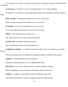As a symbol of civic pride, we built a new park zone with sports amenities and educational exhibitions.

**tax incentives =** reductions in tax to encourage people to do or buy something

We should use tax incentives to encourage more people to try using their own solar panels at home.

**home working =** working in your home for all or part of the week

Home working can be quite an isolated way to do your job.

**to commute =** to travel a long distance to work every day

I live in the suburbs and commute by train to the city centre.

**suburbs** = the residential areas around a city

Life in the suburbs can be rather boring, to be honest.

**the inner city =** the older, central part of a city

Inner city housing is often overcrowded and noisy.

**communal car-pooling** = a voluntary system for people to travel in a shared car, to reduce fuel use

I tried car-pooling, but it was difficult to arrange the journeys with three other people.

**outdated =** old-fashioned and not relevant today

I find that our political parties are very outdated these days.

**innovations** = new ideas or things (which are usually useful or exciting)

Mobile computing was one of the great innovations of the last ten years.

**a burden =** a weight or responsibility which is difficult to cope with

The burden of income tax is much too high these days for normal people.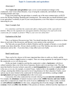# **Topic 9: Countryside and agriculture**

#### About topic 9

The **Countryside and agriculture** topic covers social and physical changes in the countryside, rural versus urban lifestyles, ways of using the countryside, and methods of farming including animals and crops.

It may seem surprising, but agriculture is actually one of the most common topics in IELTS across the Writing, Reading, Speaking and Listening tests. This means that you should definitely learn to use agriculture vocabulary as part of your exam preparation, even if the subject is not personally interesting for you.

#### Topic 9 example Task

*It is sometimes said that the countryside of ers a high quality of life, especially for families. What are the arguments for and against families choosing to live and work in the countryside, for example as farmers? What is your own view about this?*

#### Explanation of the Task

This is an Opinion>Discussion type Task. You should introduce the topic, present two or three ideas on each side of the discussion, and then give your opinion in the conclusion.

The Task asks you specifically to think of families and the example of farmers, so you should include some ideas about this. Always check carefully to see if the Task has any extra or specific instructions such as this – if you miss these, it may affect your score badly.

### Band 9 model essay

There can be few choices in life more important than where to settle as a family, and the question of an urban or **rural** location is complex. There are strong arguments for and against living in the countryside, as we will discuss now.

On the one hand, it might be said that the countryside is rather a **backwater**, with fewer cultural amenities than a city in the form of museums, theatres and even sporting events. This may mean that families become isolated, especially as **rural depopulation** leaves fewer **country dwellers** in the area, as we see, for example, in central France. Added to this is the **scarcity** of schools and colleges, meaning that children may need to travel long distances for their education. Finally, career options may be more limited in the countryside for both parents and children, resulting in **rural unemployment** and long-term **rural poverty** in the worst cases.

Conversely, life in the countryside has rewards which go beyond **material considerations.** For example, the **abundance** of natural resources such as land, **wildlife forestry and water bodies** means that a comparatively simple life can be lived at a **subsistence** level. Many country residents are **self-sufficient smallholders** in this sense, safeguarding them from the changes in **the wider economy** which can **afflict city dwellers**. If the parents are farmers, children learn the importance of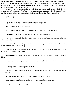**animal husbandry**, methods of farming such as **crop rotation and** irrigation, and generally may become more in tune with the natural world as a result. Finally, as technology enables children to undertake distance learning or **remote viewing** of cultural attractions such as museums, they should be less isolated from their cultural heritage.

Overall, it seems to me that quality of life in the countryside today is indeed quite high, with its advantages of resources, self-sufficiency and **environmental awareness**. This is especially true now that communications are reducing the risk of isolation in such **far-flung** communities.

(317 words)

Explanation of the topic vocabulary and examples in Speaking

**rural** = the adjective for 'countryside'

I come from a rural area originally, although these days I live in our capital city.

**a backwater** = an area of a country where little of interest happens

I used to live in an agricultural town, but frankly it was such a backwater that I moved to one of the larger cities.

**rural depopulation** = the long-term trend for people to migrate from the countryside to cities, leaving the rural areas with few people

Rural depopulation can cause huge problems with local infrastructure, as there aren't enough people to run the services and transport.

**country dwellers** = people who live in the countryside ('city dwellers' = people who live in cities)

My parents were country dwellers when they first married, but now we all live in a coastal town.

**a scarcity** = a lack or shortage of something

The worst problem I experienced in the countryside was a real scarcity of sports events and music festivals.

**rural unemployment** = unemployment affecting rural workers specifically

Rural unemployment has been ameliorated by innovative Internet start-ups.

**rural poverty =** being extremely poor in the countryside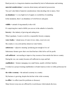Rural poverty is a long-term situation exacerbated by lack of infrastructure and training. **material considerations =** concerns about money and material possessions You can't only think of material considerations when deciding who to marry, I feel. **an abundance =** a very high level of supply or availability of something In the mountains, there's an abundance of wild flowers and goats.

**wildlife =** animals living naturally in the wild

It's surprising how much wildlife you can see in the suburbs in Australia.

**forestry =** the industry of growing and cutting trees

When I graduate, I want to work for a responsible forestry company.

**water bodies** = inland areas of water (rivers, lakes, reservoirs etc)

My country is very arid and has almost no water bodies.

**subsistence** = adjective meaning 'producing just enough to live on'

Subsistence farmers grow their own food but have little left to sell for profit.

**self-sufficient** = not needing to import or buy resources from outside the farm or country

During the war, our country became self-sufficient in crops and fuel.

**smallholders** = farmers managing very small farms, usually with their families

I worked on a project training smallholders in South America in how to lobby politicians for reform.

**the wider economy** = the national economy in a country

My business is growing, despite the decline in the wider economy.

**to afflict =** to affect (used for problems or diseases)

Many forests in my area are afflicted by wood disease which attacks the trees.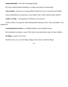**animal husbandry =** the skill of keeping animals

My sister studied animal husbandry at college and enjoyed it enormously.

**crop rotation =** the process of using different fields each year to keep the soil healthy

Some smallholders do not practise crop rotation, and so their land becomes infertile.

**remote viewing** = viewing places by Internet, not in person

I took a remote viewing tour of the Metropolitan Museum in New York, and found it very impressive.

**environmental awareness =** an understanding of environmental issues

Environmental awareness is part of the school curriculum these days for most children.

**far-flung** = remote or far away

My fiancé lives in a very far-flung village, but we keep in touch by Skype.

**\*\*\***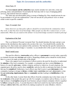# **Topic 10: Government and the authorities**

### About Topic 10

The **Government and the authorities** topic mostly includes law and order, crime and policing, justice and punishment. Occasionally the Task may refer to ways of managing public services, and relations between countries.

The Tasks may ask about public policy in terms of funding (Eg 'How should prisons be run – by governments or by private organisations?') but will not ask for your political views or about actual events in specific countries.

## Topic 10 example Task

*Some observers say that police of icers should be recruited from the communities where they work, so that they have local knowledge. Other people say that this is unnecessary, or even undesirable. Where do you stand on this debate? Is local knowledge essential in modern policing?*

### Explanation of the Task

This is an Opinion>Personal viewpoint Task. You should introduce the topic and give your opinion in the introduction, then explain why you have this view. You should briefly consider the opposing view, then restate your opinion in the conclusion. The Task has the specific instruction to decide if you think local knowledge is 'essential,'so you should refer to this as part of your opinion.

## Band 9 model essay

The need for effective, **trustworthy** police officers is **paramount** in society today, especially as criminals become more **devious** and creative. Regarding whether police should be locally hired, there is a case to be made on both sides of the debate.

Those who support local recruitment of officers point to the need for the police to understand the **minutiae** of the local community. For example, a community may have certain **frictions** or a history of a specific **grievance**, whether religious, political or otherwise. In such situations, the argument goes, the police need to show **sensitivity**, and also be able to anticipate the kinds of crimes that may be **committed**. Furthermore, local officers may find it easier to gain **informants** in the community, leading to stronger **evidence** at **trials**, higher **conviction** rates and a **deterrent** to crime through **sentencing, imprisonment, fines** or **community service** leading to **rehabilitation** of the **offender**.

On the other hand, it seems likely that officers from the community may in fact share some of the **tendencies** of the people they grew up with. For example, in countries such as Mexico, we see a high incidence of **corruption** among the local business and government community which is equalled by **bribery** among the police. A second objection is that local sensitivity may lead to the police failing to **enforce laws** fully, and effectively making exceptions for some offenders, which is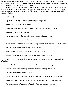**unequitable** towards **law-abiding** citizens. Finally, we must remember that police officers should have **transferable skills**, such as **lateral thinking** and **investigative** ability, which should **transcend** their background or the environment they are working in.

Overall, it seems to me that local knowledge is not absolutely essential for the police, whose skills should be effective in any **context**. Indeed, I agree with those who say that the risks of local recruitment **outweigh** the benefits, because of the danger of corruption and **over-familiarity** with potential offenders.

(318 words)

Explanation of the topic vocabulary and examples in Speaking

**trustworthy =** capable of being trusted

In most countries, politicians are regarded as untrustworthy and possibly corrupt.

**paramount** = of the greatest importance

It is paramount that we find a solution to the problem of Internet piracy.

**devious** = extremely clever in a dishonest way

Online criminals today are devious, and use many different methods to deceive their victims.

## **minutiae (pronounced 'my-new-shy') =** small details

Nobody really understands the minutiae of the new tax code.

**grievance** = an issue which makes people upset or angry for a long time

Some towns in the countryside have a grievance with central government because of land reform laws.

**sensitivity** = being alert to the circumstances of a specific group of people

Teachers should show sensitivity to students who have language difficulties.

## **to commit an offence/a crime** = to do it

The President committed murder when he arranged for his opponent to be assassinated.

**informants =** people who tell the police useful information about criminals in their area

The police paid the informant for information about who organised the riots**.**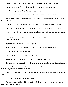**evidence** = material presented in court to prove that someone is guilty or innocent

The police had a lot of DNA evidence against her, but no witness statements.

**a trial = the legal procedure of** prosecuting someone for a crime

A murder trial can last for many weeks and cost millions of Euros to conduct.

**conviction rates** = the percentage of accused people who are convicted of (= found to be guilty of) a crime

Conviction rates for burglary are low; only about 30% of trials result in a conviction.

**a deterrent** = something that makes people *not* want to do something (verb = to deter)

We have a guard dog as a deterrent against intruders at night. It deters people from coming into our garden.

**sentencing** = the action of telling a convicted criminal what the punishment is  $(verb = to sentence)$ 

**Imprisonment =** punishment by being in prison

He was sentenced to five years imprisonment for the armed robbery of a shop.

**A fine =** money paid as a punishment

The fine for speeding in my country is about 200 Euros.

**community service** = punishment by doing manual work for the public

Her community service consisted of cleaning the town parks and sweeping litter in the streets.

**rehabilitation** = the process of changing a criminal's character so that he does not commit more crimes (verb  $=$  to rehabilitate someone)

Some prisons use music and drama to rehabilitate offenders. Others say there is no point in trying.

**an offender =** a person who commits an offence

The government should provide training for offenders in prison, so that they don't turn to crime again when they leave.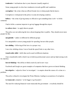**tendencies =** inclinations due to your character (usually negative)

Some young people in cities have tendencies towards graffiti and vandalism.

**corruption =** the crime when an official breaks laws to help people that he knows

Corruption is widespread in the police in some developing countries.

**bribery** = the crime of giving money to officials to get something done (verb  $=$  to bribe someone)

I had to bribe a customs inspector to get my luggage through the airport.

**to enforce laws** = to apply them to people

The police are not enforcing the laws about dropping litter in public. They should arrest more people for this.

**unequitable** = unfair or different for different groups

It is unequitable to arrest young people for speeding, but not older people.

**law-abiding** = following all the laws in a proper way

I am a law-abiding citizen. I never break the speed limit or any other laws.

**transferable skills =** skills that can be used in different situations

I have transferable skills which I use in both my professional career and my fund-raising work for charities.

**lateral thinking =** the ability to think creatively and in new ways

Facebook and Google are great examples of companies that have grown on lateral thinking.

**investigative** = adjective from 'to investigate' = to enquire about the causes of a crime or a problem

The police refused to investigate the Prime Minister, leading to accusations of corruption.

**to transcend** a situation = to be bigger or go beyond it

The need for reducing financial waste transcends the government – everybody should be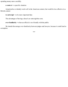spending money more carefully.

**a context =** a specific situation

Armed police evidently work well in the American context, but would be less effective in a British context.

**to outweigh** = to be more important than

The advantages of having a diesel car outweigh the costs.

**over-familiarity =** when an official is too friendly with the public

We should discourage over-familiarity between judges and lawyers, because it could lead to corruption.

\*\*\*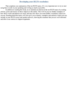## **Developing your IELTS vocabulary**

That completes our explanation of the ten IELTS topics. It's very important now to try to start using these words in your speaking and writing as much as possible.

In addition to reading this book, try to maintain an interest in the ten IELTS topics by reading articles, posts and stories on these subjects in the media. This will let you see further examples of how these words and phrases are used, and may also show you some further vocabulary which you can use. Reading about the topics will also give you evidence, examples and statistics which you can include in your IELTS essays and spoken answers, showing the examiner that you are well-informed and able to use sources to support arguments.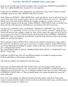# **Overview: The IELTS Academic Task 2 essay types**

There are two possible types of IELTS Academic Task 2 writing Tasks: OPINION Tasks and IDEAS Tasks. Let's explain the difference, because this is very important.

Firstly, there are OPINION Tasks, which ask for your opinion on a topic, such as whether you think something is good or bad. These OPINION Tasks take two forms.

Some of these are OPINION > DISCUSSION Tasks, which typically say *'Some people think that X is a good thing, while other people disagree. Discuss both sides and give your own view.'* Remember that the exact words used could be different (for example, it might say *'consider both aspects'* or similar) but the concept will be the same. In these OPINION > DISCUSSION Tasks, you should write about each side of the discussion, and finally give your opinion at the end of your essay.

The other type of OPINION Task is the OPINION > PERSONALVIEWPOINT Task. These Tasks typically say *'X is a good thing. To what extent do you agree with this statement?'* Again, the exact words will often vary (for example, it might say *'Many people support the suggestion of X. How far do you support this proposal?'*) but the concept will be the same. In these OPINION > PERSONAL VIEWPOINT Tasks, you should state your personal viewpoint at the *beginning* of the essay, and then explain why you have this opinion.

The second type of Task are IDEAS Tasks, which ask you to think of some ideas on a topic (such as the reasons for a problem or some ways to solve it) or to evaluate a situation. In these IDEAS Tasks, you will get high marks for thinking of a number of ideas on the topic, but you will lose marks if you give a strong personal opinion.

The common IDEAS Tasks are IDEAS > PROBLEM/SOLUTION, IDEAS > CAUSE/EFFECT and IDEAS > EVALUATE.

Sometimes, an IDEAS type Task will mix different elements, for example by asking you about Problems and Effects or about Causes and Solutions.

This book has examples and explanations of all these types.

In the exam, you should analyze the Task carefully *before* you start writing, to make sure you understand which type you need to write. Ask yourself: is this an OPINION or an IDEAS Task? Is it asking me to give my personal view, or is it asking me to think of some ideas on a topic? Which type of OPINION or IDEAS Task is it? Then you should spend a few minutes planning your essay with some simple notes.

Don't try to write anything very different in structure from the models in this book. These model essays are exactly what the examiners want to see from you. Read our model essays, and then practice writing your own essays in a similar way.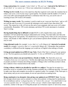## **The most common mistakes in IELTS Writing**

**Using contractions** (for example *'I don't think'* or '*We can't say'* ) **instead of the full form** ('*I do not think'* or '*we cannot say.'*) Never use contractions in academic writing.

**Writing too few words.** If you write much less than the required word count, the examiner has to reduce your score, even if your essay is good quality. You should count the number of words in your essay after each paragraph and keep a continuous total; this way, you can be sure of reaching at least 250 words in 40 minutes.

**Writing too many words.** The examiner is paid to mark on an 'essay per hour basis,' and so will not read the end of an essay if it exceeds the minimum word count by more than about 100 words. This means he or she will not see the end of your argument, and your score will reduce considerably. Remember: 250 words minimum, and about 350 words maximum in Academic Task 2 writing.

**Having handwriting that is difficult to read.** IELTS is still a handwritten exam, and the examiners will not spend time trying to understand your writing. You must make sure that your handwriting can be read quickly. You should focus on writing clearly when you do your practice essays. Ask friends or other students to give you an honest opinion about whether your writing is easy to read.

**Using informal words** (for example 'a *nice* idea' or 'a *silly* thing to do') **instead of academic words** (for example 'a *positive* idea' or 'a *regrettable* thing to do.') Remember that academic vocabulary is different from the language you would use in English when talking to friends.

**Giving personal opinion in an IDEAS type Task.** Check if the Task is asking for your opinion or not. The first question you should ask yourself is '*Is this an OPINION or an IDEAS Task?*'

**Telling stories about your personal history, friends or family.** The Task tells you to use '*examples from your own experience*,' but this does **not** mean describing stories from your life or people you know! It means describing examples of things in the world that you know about, have studied or have learned about in the media.

**Giving evidence which is too detailed or specific to a subject.** You may be an expert in a particular social or scientific field, but the examiner probably has a different specialty. You need to make your ideas and examples accessible to a general reader. For example, if the Task topic is about money and you are an accountant, do not use specialized accounting terms.

**Being emotional or too dramatic when giving your opinion in an OPINION Task.** You may feel strongly about issues such as animals or crime, but academic writing must be unemotional. So avoid phrases such as '*a disgusting idea'* or '*I detest this concept*.' It is much better to say '*an unacceptable idea'* or '*I disapprove of this concept*,' which is more impersonal and academic; similar to the type of writing that people use in business reports or university essays.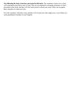**Not following the basic structures presented in this book.** The examiners want to see a clear, well-structured essay that is easy to read. They are accustomed to seeing the structures we have presented in this book, and they will feel more positive about your essay if they can recognize these structures in what you write.

Give the examiners what they want, and they will reward you with a high score, even if there are some grammatical mistakes in your English.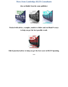## **More from Cambridge IELTS Consultants**

## **Also on Kindle from the same publisher:**



**Packed with advice, examples, models to follow and real Band 9 essays to help you get the best possible result.**



**Full of practical advice to help you get the best score in IELTS Speaking.**

**\*\*\***